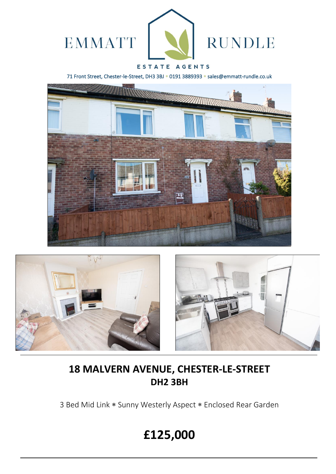

71 Front Street, Chester-le-Street, DH3 3BJ \* 0191 3889393 \* sales@emmatt-rundle.co.uk







## **18 MALVERN AVENUE, CHESTER-LE-STREET DH2 3BH**

3 Bed Mid Link \* Sunny Westerly Aspect \* Enclosed Rear Garden

# **£125,000**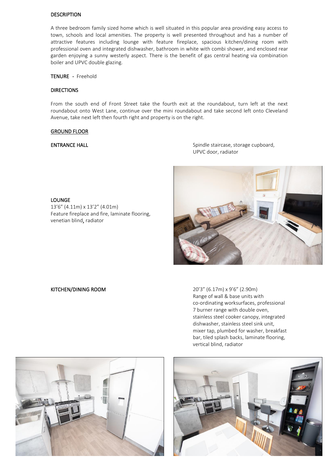### DESCRIPTION

A three bedroom family sized home which is well situated in this popular area providing easy access to town, schools and local amenities. The property is well presented throughout and has a number of attractive features including lounge with feature fireplace, spacious kitchen/dining room with professional oven and integrated dishwasher, bathroom in white with combi shower, and enclosed rear garden enjoying a sunny westerly aspect. There is the benefit of gas central heating via combination boiler and UPVC double glazing.

TENURE - Freehold

### **DIRECTIONS**

From the south end of Front Street take the fourth exit at the roundabout, turn left at the next roundabout onto West Lane, continue over the mini roundabout and take second left onto Cleveland Avenue, take next left then fourth right and property is on the right.

### GROUND FLOOR

LOUNGE

ENTRANCE HALL **ENTRANCE** HALL **Spindle staircase**, storage cupboard, UPVC door, radiator



13'6" (4.11m) x 13'2" (4.01m)

venetian blind, radiator

Feature fireplace and fire, laminate flooring,

KITCHEN/DINING ROOM 20'3" (6.17m) x 9'6" (2.90m) Range of wall & base units with co-ordinating worksurfaces, professional 7 burner range with double oven, stainless steel cooker canopy, integrated dishwasher, stainless steel sink unit, mixer tap, plumbed for washer, breakfast bar, tiled splash backs, laminate flooring, vertical blind, radiator



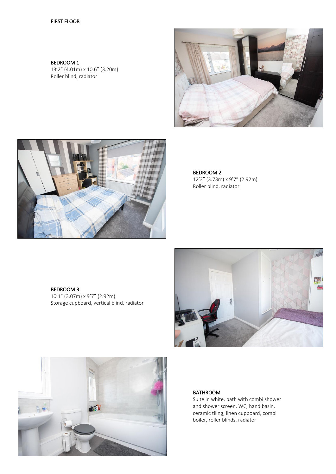### **FIRST FLOOR**

BEDROOM 1 13'2" (4.01m) x 10.6" (3.20m) Roller blind, radiator





BEDROOM 2 12'3" (3.73m) x 9'7" (2.92m) Roller blind, radiator

BEDROOM 3 10'1" (3.07m) x 9'7" (2.92m) Storage cupboard, vertical blind, radiator





### BATHROOM

Suite in white, bath with combi shower and shower screen, WC, hand basin, ceramic tiling, linen cupboard, combi boiler, roller blinds, radiator